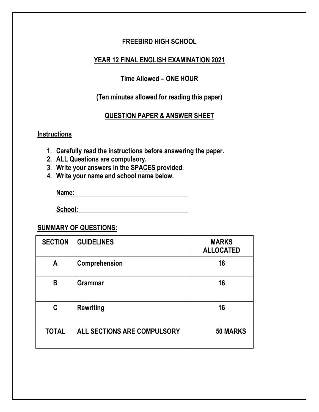#### **FREEBIRD HIGH SCHOOL**

#### **YEAR 12 FINAL ENGLISH EXAMINATION 2021**

### **Time Allowed – ONE HOUR**

### **(Ten minutes allowed for reading this paper)**

#### **QUESTION PAPER & ANSWER SHEET**

#### **Instructions**

**1. Carefully read the instructions before answering the paper.**

- **2. ALL Questions are compulsory.**
- **3. Write your answers in the SPACES provided.**
- **4. Write your name and school name below.**

**Name:**

**School:** 

#### **SUMMARY OF QUESTIONS:**

| <b>SECTION</b> | <b>GUIDELINES</b>           | <b>MARKS</b><br><b>ALLOCATED</b> |
|----------------|-----------------------------|----------------------------------|
| A              | Comprehension               | 18                               |
| B              | <b>Grammar</b>              | 16                               |
| C              | <b>Rewriting</b>            | 16                               |
| <b>TOTAL</b>   | ALL SECTIONS ARE COMPULSORY | <b>50 MARKS</b>                  |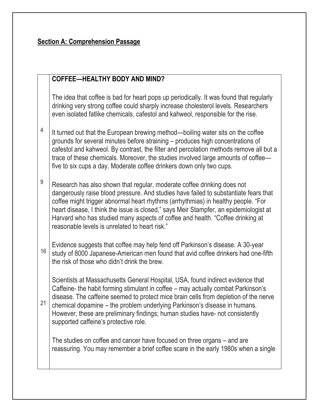### **Section A: Comprehension Passage**

### **COFFEE—HEALTHY BODY AND MIND?**

The idea that coffee is bad for heart pops up periodically. It was found that regularly drinking very strong coffee could sharply increase cholesterol levels. Researchers even isolated fatlike chemicals, cafestol and kahweol, responsible for the rise.

- 4 It turned out that the European brewing method—boiling water sits on the coffee grounds for several minutes before straining – produces high concentrations of cafestol and kahweol. By contrast, the filter and percolation methods remove all but a trace of these chemicals. Moreover, the studies involved large amounts of coffee five to six cups a day. Moderate coffee drinkers down only two cups.
- 9 Research has also shown that regular, moderate coffee drinking does not dangerously raise blood pressure. And studies have failed to substantiate fears that coffee might trigger abnormal heart rhythms (arrhythmias) in healthy people. "For heart disease, I think the issue is closed," says Meir Stampfer, an epidemiologist at Harvard who has studied many aspects of coffee and health. "Coffee drinking at reasonable levels is unrelated to heart risk."
- 16 Evidence suggests that coffee may help fend off Parkinson's disease. A 30-year study of 8000 Japanese-American men found that avid coffee drinkers had one-fifth the risk of those who didn't drink the brew.

Scientists at Massachusetts General Hospital, USA, found indirect evidence that Caffeine- the habit forming stimulant in coffee – may actually combat Parkinson's disease. The caffeine seemed to protect mice brain cells from depletion of the nerve

21 chemical dopamine – the problem underlying Parkinson's disease in humans. However, these are preliminary findings; human studies have- not consistently supported caffeine's protective role.

The studies on coffee and cancer have focused on three organs – and are reassuring. You may remember a brief coffee scare in the early 1980s when a single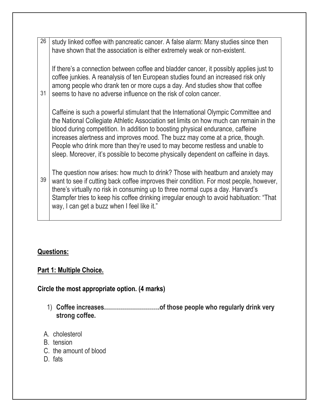26 31 39 study linked coffee with pancreatic cancer. A false alarm: Many studies since then have shown that the association is either extremely weak or non-existent. If there's a connection between coffee and bladder cancer, it possibly applies just to coffee junkies. A reanalysis of ten European studies found an increased risk only among people who drank ten or more cups a day. And studies show that coffee seems to have no adverse influence on the risk of colon cancer. Caffeine is such a powerful stimulant that the International Olympic Committee and the National Collegiate Athletic Association set limits on how much can remain in the blood during competition. In addition to boosting physical endurance, caffeine increases alertness and improves mood. The buzz may come at a price, though. People who drink more than they're used to may become restless and unable to sleep. Moreover, it's possible to become physically dependent on caffeine in days. The question now arises: how much to drink? Those with heatburn and anxiety may want to see if cutting back coffee improves their condition. For most people, however, there's virtually no risk in consuming up to three normal cups a day. Harvard's Stampfer tries to keep his coffee drinking irregular enough to avoid habituation: "That way, I can get a buzz when I feel like it."

# **Questions:**

# **Part 1: Multiple Choice.**

# **Circle the most appropriate option. (4 marks)**

- 1) **Coffee increases……………………….of those people who regularly drink very strong coffee.**
- A. cholesterol
- B. tension
- C. the amount of blood
- D. fats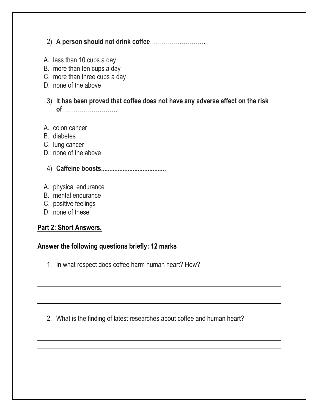# 2) **A person should not drink coffee**……………………….

- A. less than 10 cups a day
- B. more than ten cups a day
- C. more than three cups a day
- D. none of the above
- 3) **It has been proved that coffee does not have any adverse effect on the risk of**……………………….
- A. colon cancer
- B. diabetes
- C. lung cancer
- D. none of the above
- 4) **Caffeine boosts.......................................**
- A. physical endurance
- B. mental endurance
- C. positive feelings
- D. none of these

### **Part 2: Short Answers.**

#### **Answer the following questions briefly: 12 marks**

1. In what respect does coffee harm human heart? How?

2. What is the finding of latest researches about coffee and human heart?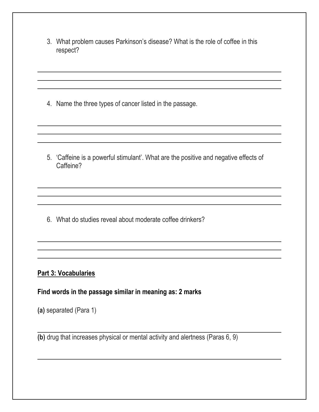3. What problem causes Parkinson's disease? What is the role of coffee in this respect?

4. Name the three types of cancer listed in the passage.

5. 'Caffeine is a powerful stimulant'. What are the positive and negative effects of Caffeine?

6. What do studies reveal about moderate coffee drinkers?

#### **Part 3: Vocabularies**

**Find words in the passage similar in meaning as: 2 marks**

**(a)** separated (Para 1)

**(b)** drug that increases physical or mental activity and alertness (Paras 6, 9)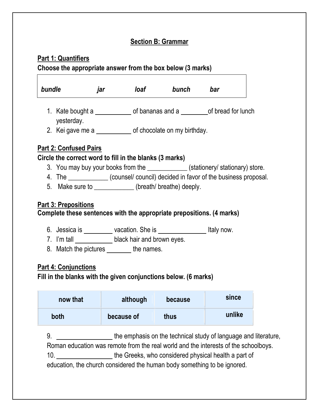# **Section B: Grammar**

٦

# **Part 1: Quantifiers**

 $\Gamma$ 

**Choose the appropriate answer from the box below (3 marks)**

|                                                                                                | jar | loaf <b>community</b>                                                                                                                                                                  | bunch   | bar                                                                                |
|------------------------------------------------------------------------------------------------|-----|----------------------------------------------------------------------------------------------------------------------------------------------------------------------------------------|---------|------------------------------------------------------------------------------------|
| yesterday.                                                                                     |     |                                                                                                                                                                                        |         |                                                                                    |
|                                                                                                |     | 2. Kei gave me a _______________ of chocolate on my birthday.                                                                                                                          |         |                                                                                    |
| <b>Part 2: Confused Pairs</b>                                                                  |     |                                                                                                                                                                                        |         |                                                                                    |
| Circle the correct word to fill in the blanks (3 marks)                                        |     |                                                                                                                                                                                        |         |                                                                                    |
|                                                                                                |     |                                                                                                                                                                                        |         | 3. You may buy your books from the _____________(stationery/ stationary) store.    |
|                                                                                                |     |                                                                                                                                                                                        |         | 4. The ______________(counsel/ council) decided in favor of the business proposal. |
|                                                                                                |     | 5. Make sure to ____________(breath/ breathe) deeply.                                                                                                                                  |         |                                                                                    |
| Part 3: Prepositions<br>Complete these sentences with the appropriate prepositions. (4 marks)  |     | 6. Jessica is ___________vacation. She is _______________________Italy now.<br>7. I'm tall ____________________black hair and brown eyes.<br>8. Match the pictures ________ the names. |         |                                                                                    |
| <b>Part 4: Conjunctions</b><br>Fill in the blanks with the given conjunctions below. (6 marks) |     |                                                                                                                                                                                        |         |                                                                                    |
| now that                                                                                       |     | although                                                                                                                                                                               | because | since                                                                              |

education, the church considered the human body something to be ignored.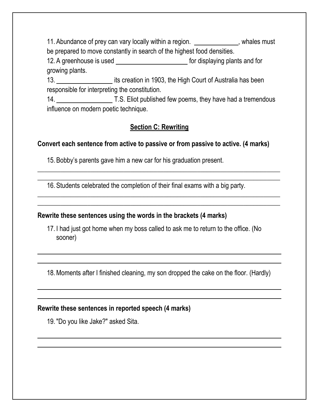11. Abundance of prey can vary locally within a region. \_\_\_\_\_\_\_\_\_\_\_\_\_, whales must be prepared to move constantly in search of the highest food densities.

12. A greenhouse is used \_\_\_\_\_\_\_\_\_\_\_\_\_\_\_\_\_\_\_\_\_\_\_\_\_\_ for displaying plants and for growing plants.

13. **its creation in 1903, the High Court of Australia has been** responsible for interpreting the constitution.

14. T.S. Eliot published few poems, they have had a tremendous influence on modern poetic technique.

# **Section C: Rewriting**

 $\_$  , and the set of the set of the set of the set of the set of the set of the set of the set of the set of the set of the set of the set of the set of the set of the set of the set of the set of the set of the set of th  $\_$  , and the set of the set of the set of the set of the set of the set of the set of the set of the set of the set of the set of the set of the set of the set of the set of the set of the set of the set of the set of th

 $\_$  , and the set of the set of the set of the set of the set of the set of the set of the set of the set of the set of the set of the set of the set of the set of the set of the set of the set of the set of the set of th  $\_$  , and the set of the set of the set of the set of the set of the set of the set of the set of the set of the set of the set of the set of the set of the set of the set of the set of the set of the set of the set of th

# **Convert each sentence from active to passive or from passive to active. (4 marks)**

15. Bobby's parents gave him a new car for his graduation present.

16. Students celebrated the completion of their final exams with a big party.

### **Rewrite these sentences using the words in the brackets (4 marks)**

17. I had just got home when my boss called to ask me to return to the office. (No sooner)

18.Moments after I finished cleaning, my son dropped the cake on the floor. (Hardly)

### **Rewrite these sentences in reported speech (4 marks)**

19. "Do you like Jake?" asked Sita.